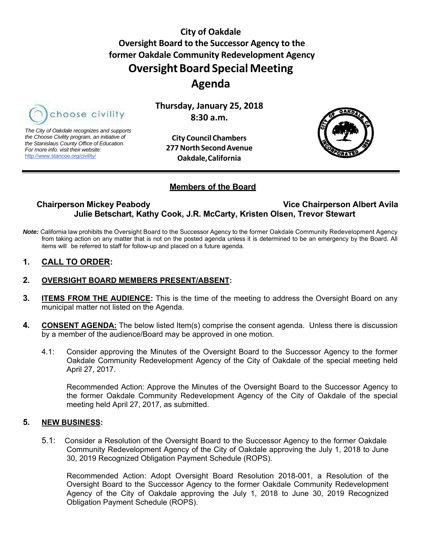**City of Oakdale Oversight Board to the Successor Agency to the former Oakdale Community Redevelopment Agency Oversight Board Special Meeting Agenda**



*The City of Oakdale recognizes and supports the Choose Civility program, an initiative of the Stanislaus County Office of Education. For more info. visit their website:* http://www.stancoe.org/civility/

**City Council Chambers 277 North Second Avenue Oakdale, California**

**Thursday, January 25, 2018 8:30 a.m.**



### **Members of the Board**

# **Chairperson Mickey Peabody Vice Chairperson Albert Avila Julie Betschart, Kathy Cook, J.R. McCarty, Kristen Olsen, Trevor Stewart**

*Note:* California law prohibits the Oversight Board to the Successor Agency to the former Oakdale Community Redevelopment Agency from taking action on any matter that is not on the posted agenda unless it is determined to be an emergency by the Board. All items will be referred to staff for follow-up and placed on a future agenda.

### **1. CALL TO ORDER:**

### **2. OVERSIGHT BOARD MEMBERS PRESENT/ABSENT:**

- **3. ITEMS FROM THE AUDIENCE:** This is the time of the meeting to address the Oversight Board on any municipal matter not listed on the Agenda.
- **4. CONSENT AGENDA:** The below listed Item(s) comprise the consent agenda. Unless there is discussion by a member of the audience/Board may be approved in one motion.
	- 4.1: Consider approving the Minutes of the Oversight Board to the Successor Agency to the former Oakdale Community Redevelopment Agency of the City of Oakdale of the special meeting held April 27, 2017.

Recommended Action: Approve the Minutes of the Oversight Board to the Successor Agency to the former Oakdale Community Redevelopment Agency of the City of Oakdale of the special meeting held April 27, 2017, as submitted.

#### **5. NEW BUSINESS:**

5.1: Consider a Resolution of the Oversight Board to the Successor Agency to the former Oakdale Community Redevelopment Agency of the City of Oakdale approving the July 1, 2018 to June 30, 2019 Recognized Obligation Payment Schedule (ROPS).

Recommended Action: Adopt Oversight Board Resolution 2018-001, a Resolution of the Oversight Board to the Successor Agency to the former Oakdale Community Redevelopment Agency of the City of Oakdale approving the July 1, 2018 to June 30, 2019 Recognized Obligation Payment Schedule (ROPS).